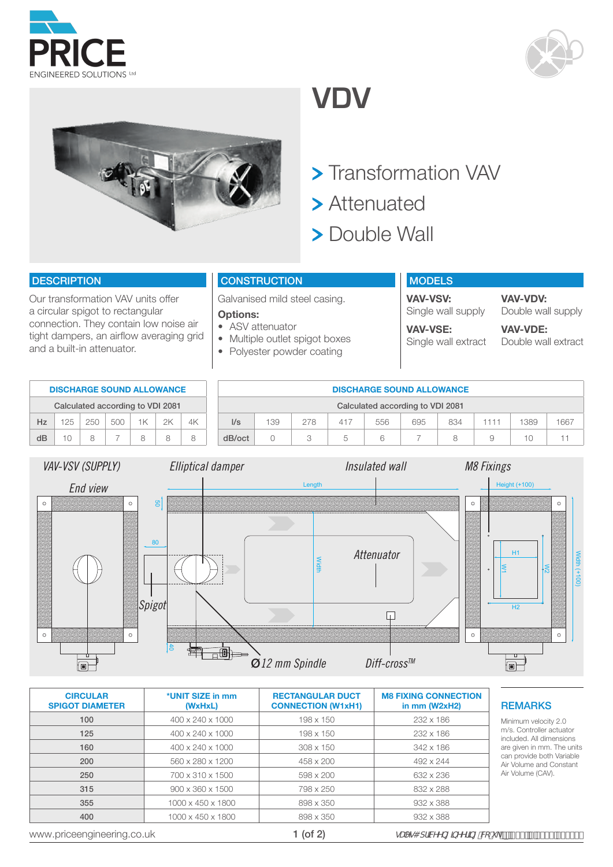





40

 $\begin{picture}(100,10) \put(0,0){\line(1,0){10}} \put(10,0){\line(1,0){10}} \put(10,0){\line(1,0){10}} \put(10,0){\line(1,0){10}} \put(10,0){\line(1,0){10}} \put(10,0){\line(1,0){10}} \put(10,0){\line(1,0){10}} \put(10,0){\line(1,0){10}} \put(10,0){\line(1,0){10}} \put(10,0){\line(1,0){10}} \put(10,0){\line(1,0){10}} \put(10,0){\line($ 

## **VDV**

- > Transformation VAV
- > Attenuated
- > Double Wall

## **DESCRIPTION**

Our transformation VAV units offer a circular spigot to rectangular connection. They contain low noise air tight dampers, an airflow averaging grid and a built-in attenuator.

## **CONSTRUCTION**

Galvanised mild steel casing.

#### **Options:**

- ASV attenuator
- Multiple outlet spigot boxes
- Polyester powder coating

#### MODELS **VAV-VSV: VAV-VDV:**

Width

Single wall supply Doub **VAV-VSE:**

Single wall extract

Double wall supply **VAV-VDE:**

Double wall extract

W2

|                    | <b>DISCHARGE SOUND ALLOWANCE</b> |     |                    |              |          |    |                   |         |        |     | <b>DISCHARGE SOUND ALLOWANCE</b> |                |     |                                      |                      |                                |
|--------------------|----------------------------------|-----|--------------------|--------------|----------|----|-------------------|---------|--------|-----|----------------------------------|----------------|-----|--------------------------------------|----------------------|--------------------------------|
|                    | Calculated according to VDI 2081 |     |                    |              |          |    |                   |         |        |     | Calculated according to VDI 2081 |                |     |                                      |                      |                                |
| Hz                 | 125                              | 250 | 500                | 1K           | 2K       | 4K | I/s               | 139     | 278    | 417 | 556                              | 695            | 834 | 1111                                 | 1389                 | 1667                           |
| dB                 | 10                               | 8   | 7                  | 8            | 8        | 8  | dB/oct            | $\circ$ | 3      | 5   | 6                                | $\overline{7}$ | 8   | 9                                    | 10                   | 11                             |
|                    | VAV-VSV (SUPPLY)                 |     |                    |              |          |    | Elliptical damper |         |        |     | Insulated wall                   |                |     | <b>M8 Fixings</b>                    |                      |                                |
|                    | End view                         |     |                    |              |          |    |                   |         | Length |     |                                  |                |     |                                      | <b>Height (+100)</b> |                                |
| $\circ$<br>$\circ$ |                                  |     | $\circ$<br>$\circ$ | 80<br>Spigot | <b>g</b> |    |                   |         | Width  |     | Attenuator                       |                |     | $\circ$<br>$\overline{a}$<br>$\circ$ | H1<br>H <sub>2</sub> | $\circ$<br>$(+100)$<br>$\circ$ |

Ø*12 mm Spindle Diff-crossTM*

| <b>CIRCULAR</b><br><b>SPIGOT DIAMETER</b> | *UNIT SIZE in mm<br>(WxHxL)  | <b>RECTANGULAR DUCT</b><br><b>CONNECTION (W1xH1)</b> | <b>M8 FIXING CONNECTION</b><br>in $mm$ (W2xH2)                   | <b>REMARKS</b>                                       |  |
|-------------------------------------------|------------------------------|------------------------------------------------------|------------------------------------------------------------------|------------------------------------------------------|--|
| 100                                       | 400 x 240 x 1000             | $198 \times 150$                                     | 232 x 186                                                        | Minimum velocity 2.0                                 |  |
| 125                                       | 400 x 240 x 1000             | 198 x 150                                            | 232 x 186                                                        | m/s. Controller actuator<br>included. All dimensions |  |
| 160                                       | 400 x 240 x 1000             | $308 \times 150$                                     | 342 x 186                                                        | are given in mm. The units                           |  |
| 200                                       | 560 x 280 x 1200             | 458 x 200                                            | 492 x 244                                                        | can provide both Variable<br>Air Volume and Constant |  |
| 250                                       | 700 x 310 x 1500             | 598 x 200                                            | 632 x 236                                                        | Air Volume (CAV).                                    |  |
| 315                                       | $900 \times 360 \times 1500$ | 798 x 250                                            | 832 x 288                                                        |                                                      |  |
| 355                                       | 1000 x 450 x 1800            | 898 x 350                                            | 932 x 388                                                        |                                                      |  |
| 400                                       | 1000 x 450 x 1800            | 898 x 350                                            | 932 x 388                                                        |                                                      |  |
| www.priceengineering.co.uk                |                              | $1$ (of $2$ )                                        | gUYg4 dfJMYYb[ ]bYYf]b[ "Vć"i _ p Ž ( ( f\$\co-' ( ', ' ) - \$\$ |                                                      |  |

 $\Box$